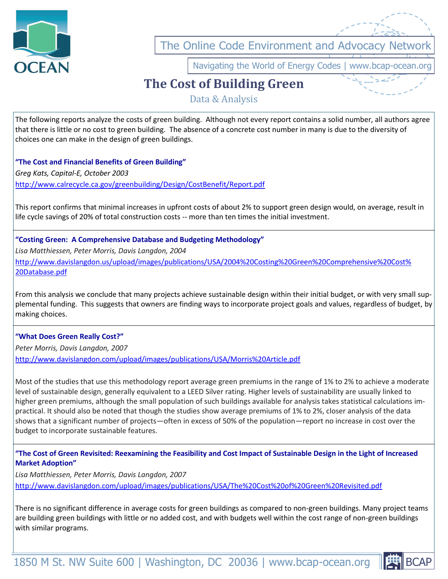

The Online Code Environment and Advocacy Networ

Navigating the World of Energy Codes | www.bcap-ocean.org

# **The Cost of Building Green**



Data & Analysis

The following reports analyze the costs of green building. Although not every report contains a solid number, all authors agree that there is little or no cost to green building. The absence of a concrete cost number in many is due to the diversity of choices one can make in the design of green buildings.

**"The Cost and Financial Benefits of Green Building"** *Greg Kats, Capital-E, October 2003*  <http://www.calrecycle.ca.gov/greenbuilding/Design/CostBenefit/Report.pdf>

This report confirms that minimal increases in upfront costs of about 2% to support green design would, on average, result in life cycle savings of 20% of total construction costs -- more than ten times the initial investment.

**"Costing Green: A Comprehensive Database and Budgeting Methodology"** *Lisa Matthiessen, Peter Morris, Davis Langdon, 2004* [http://www.davislangdon.us/upload/images/publications/USA/2004%20Costing%20Green%20Comprehensive%20Cost%](http://www.davislangdon.us/upload/images/publications/USA/2004%20Costing%20Green%20Comprehensive%20Cost%20Database.pdf) [20Database.pdf](http://www.davislangdon.us/upload/images/publications/USA/2004%20Costing%20Green%20Comprehensive%20Cost%20Database.pdf)

From this analysis we conclude that many projects achieve sustainable design within their initial budget, or with very small supplemental funding. This suggests that owners are finding ways to incorporate project goals and values, regardless of budget, by making choices.

# **"What Does Green Really Cost?"**

*Peter Morris, Davis Langdon, 2007* <http://www.davislangdon.com/upload/images/publications/USA/Morris%20Article.pdf>

Most of the studies that use this methodology report average green premiums in the range of 1% to 2% to achieve a moderate level of sustainable design, generally equivalent to a LEED Silver rating. Higher levels of sustainability are usually linked to higher green premiums, although the small population of such buildings available for analysis takes statistical calculations impractical. It should also be noted that though the studies show average premiums of 1% to 2%, closer analysis of the data shows that a significant number of projects—often in excess of 50% of the population—report no increase in cost over the budget to incorporate sustainable features.

**"The Cost of Green Revisited: Reexamining the Feasibility and Cost Impact of Sustainable Design in the Light of Increased Market Adoption"**

*Lisa Matthiessen, Peter Morris, Davis Langdon, 2007* <http://www.davislangdon.com/upload/images/publications/USA/The%20Cost%20of%20Green%20Revisited.pdf>

There is no significant difference in average costs for green buildings as compared to non-green buildings. Many project teams are building green buildings with little or no added cost, and with budgets well within the cost range of non-green buildings with similar programs.

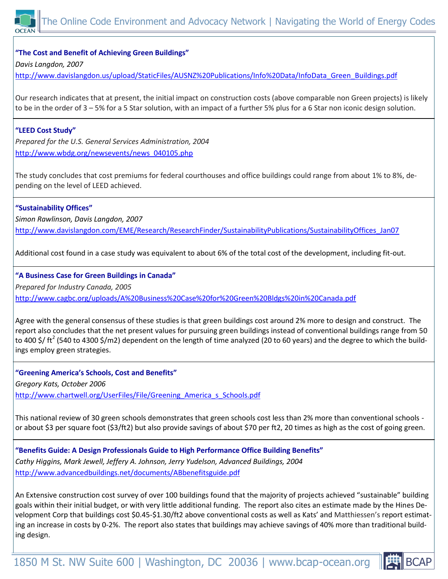

## **"The Cost and Benefit of Achieving Green Buildings"**

*Davis Langdon, 2007*

[http://www.davislangdon.us/upload/StaticFiles/AUSNZ%20Publications/Info%20Data/InfoData\\_Green\\_Buildings.pdf](http://www.davislangdon.us/upload/StaticFiles/AUSNZ%20Publications/Info%20Data/InfoData_Green_Buildings.pdf)

Our research indicates that at present, the initial impact on construction costs (above comparable non Green projects) is likely to be in the order of 3 – 5% for a 5 Star solution, with an impact of a further 5% plus for a 6 Star non iconic design solution.

#### **"LEED Cost Study"**

*Prepared for the U.S. General Services Administration, 2004* [http://www.wbdg.org/newsevents/news\\_040105.php](http://www.wbdg.org/newsevents/news_040105.php)

The study concludes that cost premiums for federal courthouses and office buildings could range from about 1% to 8%, depending on the level of LEED achieved.

#### **"Sustainability Offices"**

*Simon Rawlinson, Davis Langdon, 2007* [http://www.davislangdon.com/EME/Research/ResearchFinder/SustainabilityPublications/SustainabilityOffices\\_Jan07](http://www.davislangdon.com/EME/Research/ResearchFinder/SustainabilityPublications/SustainabilityOffices_Jan07) 

Additional cost found in a case study was equivalent to about 6% of the total cost of the development, including fit-out.

#### **"A Business Case for Green Buildings in Canada"**

*Prepared for Industry Canada, 2005* <http://www.cagbc.org/uploads/A%20Business%20Case%20for%20Green%20Bldgs%20in%20Canada.pdf>

Agree with the general consensus of these studies is that green buildings cost around 2% more to design and construct. The report also concludes that the net present values for pursuing green buildings instead of conventional buildings range from 50 to 400 \$/ ft<sup>2</sup> (540 to 4300 \$/m2) dependent on the length of time analyzed (20 to 60 years) and the degree to which the buildings employ green strategies.

**"Greening America's Schools, Cost and Benefits"** *Gregory Kats, October 2006* [http://www.chartwell.org/UserFiles/File/Greening\\_America\\_s\\_Schools.pdf](http://www.chartwell.org/UserFiles/File/Greening_America_s_Schools.pdf)

This national review of 30 green schools demonstrates that green schools cost less than 2% more than conventional schools or about \$3 per square foot (\$3/ft2) but also provide savings of about \$70 per ft2, 20 times as high as the cost of going green.

**"Benefits Guide: A Design Professionals Guide to High Performance Office Building Benefits"** *Cathy Higgins, Mark Jewell, Jeffery A. Johnson, Jerry Yudelson, Advanced Buildings, 2004* <http://www.advancedbuildings.net/documents/ABbenefitsguide.pdf>

An Extensive construction cost survey of over 100 buildings found that the majority of projects achieved "sustainable" building goals within their initial budget, or with very little additional funding. The report also cites an estimate made by the Hines Development Corp that buildings cost \$0.45-\$1.30/ft2 above conventional costs as well as Kats' and Matthiessen's report estimating an increase in costs by 0-2%. The report also states that buildings may achieve savings of 40% more than traditional building design.